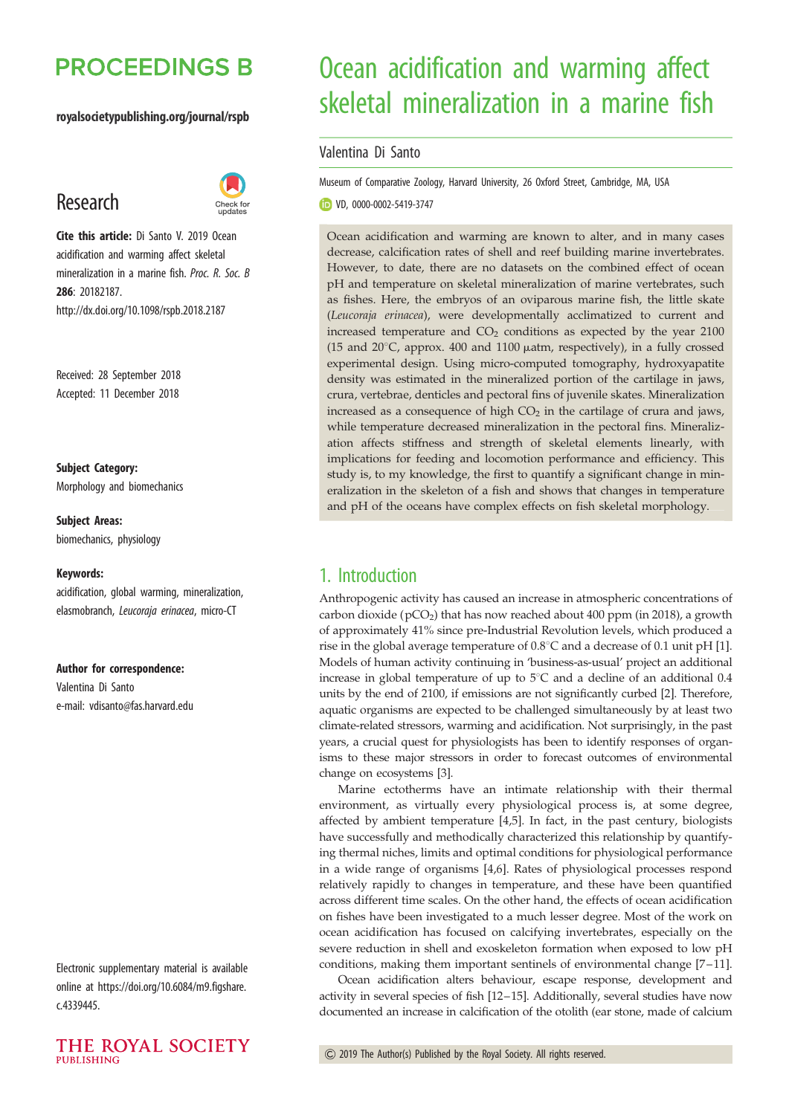# **PROCEEDINGS B**

#### royalsocietypublishing.org/journal/rspb

# Research



Cite this article: Di Santo V. 2019 Ocean acidification and warming affect skeletal mineralization in a marine fish. Proc. R. Soc. B 286: 20182187. http://dx.doi.org/10.1098/rspb.2018.2187

Received: 28 September 2018 Accepted: 11 December 2018

# Subject Category:

Morphology and biomechanics

Subject Areas: biomechanics, physiology

#### Keywords:

acidification, global warming, mineralization, elasmobranch, Leucoraja erinacea, micro-CT

#### Author for correspondence:

Valentina Di Santo e-mail: [vdisanto@fas.harvard.edu](mailto:vdisanto@fas.harvard.edu)

Electronic supplementary material is available online at [https://doi.org/10.6084/m9.figshare.](https://doi.org/10.6084/m9.figshare.c.4339445) [c.4339445.](https://doi.org/10.6084/m9.figshare.c.4339445)



# Ocean acidification and warming affect skeletal mineralization in a marine fish

#### Valentina Di Santo

Museum of Comparative Zoology, Harvard University, 26 Oxford Street, Cambridge, MA, USA

VD, [0000-0002-5419-3747](http://orcid.org/0000-0002-5419-3747)

Ocean acidification and warming are known to alter, and in many cases decrease, calcification rates of shell and reef building marine invertebrates. However, to date, there are no datasets on the combined effect of ocean pH and temperature on skeletal mineralization of marine vertebrates, such as fishes. Here, the embryos of an oviparous marine fish, the little skate (Leucoraja erinacea), were developmentally acclimatized to current and increased temperature and  $CO<sub>2</sub>$  conditions as expected by the year 2100 (15 and  $20^{\circ}$ C, approx. 400 and 1100  $\mu$ atm, respectively), in a fully crossed experimental design. Using micro-computed tomography, hydroxyapatite density was estimated in the mineralized portion of the cartilage in jaws, crura, vertebrae, denticles and pectoral fins of juvenile skates. Mineralization increased as a consequence of high  $CO<sub>2</sub>$  in the cartilage of crura and jaws, while temperature decreased mineralization in the pectoral fins. Mineralization affects stiffness and strength of skeletal elements linearly, with implications for feeding and locomotion performance and efficiency. This study is, to my knowledge, the first to quantify a significant change in mineralization in the skeleton of a fish and shows that changes in temperature and pH of the oceans have complex effects on fish skeletal morphology.

## 1. Introduction

Anthropogenic activity has caused an increase in atmospheric concentrations of carbon dioxide (pCO<sub>2</sub>) that has now reached about 400 ppm (in 2018), a growth of approximately 41% since pre-Industrial Revolution levels, which produced a rise in the global average temperature of  $0.8^{\circ}$ C and a decrease of 0.1 unit pH [\[1\]](#page-5-0). Models of human activity continuing in 'business-as-usual' project an additional increase in global temperature of up to  $5^{\circ}$ C and a decline of an additional 0.4 units by the end of 2100, if emissions are not significantly curbed [[2](#page-5-0)]. Therefore, aquatic organisms are expected to be challenged simultaneously by at least two climate-related stressors, warming and acidification. Not surprisingly, in the past years, a crucial quest for physiologists has been to identify responses of organisms to these major stressors in order to forecast outcomes of environmental change on ecosystems [[3](#page-5-0)].

Marine ectotherms have an intimate relationship with their thermal environment, as virtually every physiological process is, at some degree, affected by ambient temperature [[4,5\]](#page-5-0). In fact, in the past century, biologists have successfully and methodically characterized this relationship by quantifying thermal niches, limits and optimal conditions for physiological performance in a wide range of organisms [[4](#page-5-0),[6](#page-5-0)]. Rates of physiological processes respond relatively rapidly to changes in temperature, and these have been quantified across different time scales. On the other hand, the effects of ocean acidification on fishes have been investigated to a much lesser degree. Most of the work on ocean acidification has focused on calcifying invertebrates, especially on the severe reduction in shell and exoskeleton formation when exposed to low pH conditions, making them important sentinels of environmental change [[7](#page-5-0)–11].

Ocean acidification alters behaviour, escape response, development and activity in several species of fish [\[12](#page-5-0)–[15\]](#page-5-0). Additionally, several studies have now documented an increase in calcification of the otolith (ear stone, made of calcium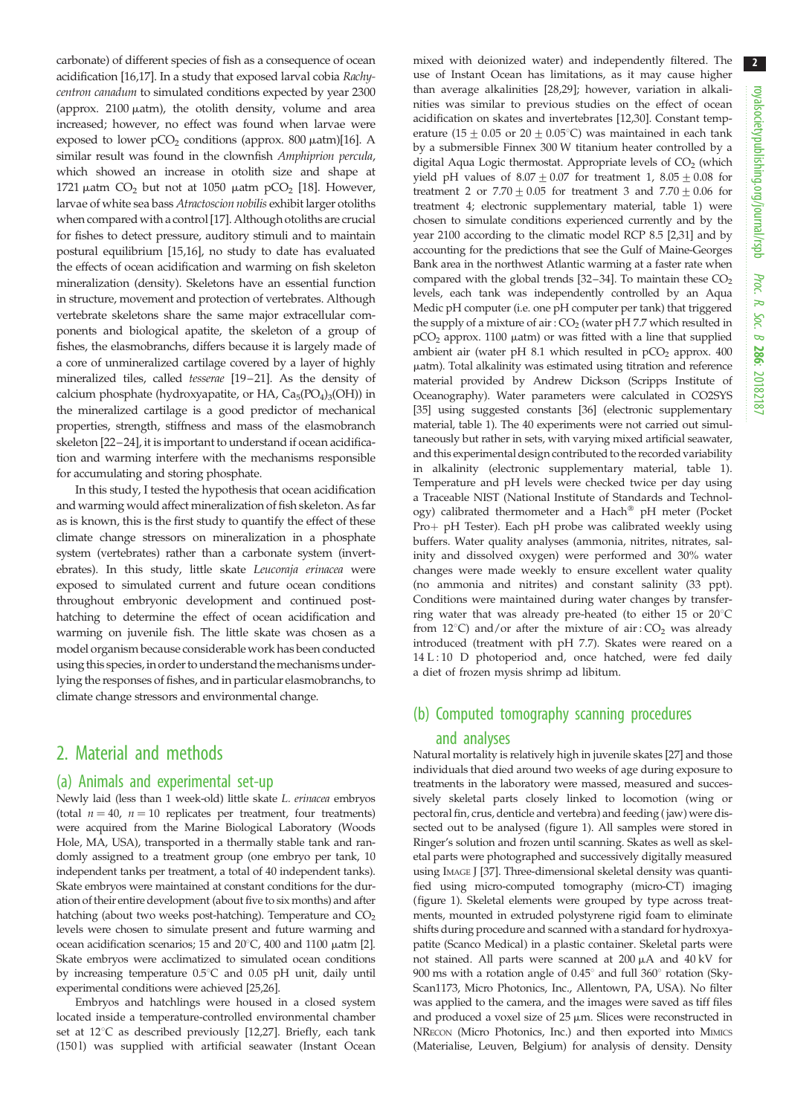carbonate) of different species of fish as a consequence of ocean acidification [[16,](#page-5-0)[17](#page-6-0)]. In a study that exposed larval cobia Rachycentron canadum to simulated conditions expected by year 2300 (approx.  $2100 \mu atm$ ), the otolith density, volume and area increased; however, no effect was found when larvae were exposed to lower  $pCO<sub>2</sub>$  conditions (approx. 800  $\mu$ atm)[\[16](#page-5-0)]. A similar result was found in the clownfish Amphiprion percula, which showed an increase in otolith size and shape at 1721  $\mu$ atm CO<sub>2</sub> but not at 1050  $\mu$ atm pCO<sub>2</sub> [\[18\]](#page-6-0). However, larvae of white sea bass Atractoscion nobilis exhibit larger otoliths when compared with a control [\[17](#page-6-0)]. Although otoliths are crucial for fishes to detect pressure, auditory stimuli and to maintain postural equilibrium [\[15,16](#page-5-0)], no study to date has evaluated the effects of ocean acidification and warming on fish skeleton mineralization (density). Skeletons have an essential function in structure, movement and protection of vertebrates. Although vertebrate skeletons share the same major extracellular components and biological apatite, the skeleton of a group of fishes, the elasmobranchs, differs because it is largely made of a core of unmineralized cartilage covered by a layer of highly mineralized tiles, called tesserae [\[19](#page-6-0)–[21\]](#page-6-0). As the density of calcium phosphate (hydroxyapatite, or HA,  $Ca<sub>5</sub>(PO<sub>4</sub>)<sub>3</sub>(OH)$ ) in the mineralized cartilage is a good predictor of mechanical properties, strength, stiffness and mass of the elasmobranch skeleton [\[22](#page-6-0)–[24](#page-6-0)], it is important to understand if ocean acidification and warming interfere with the mechanisms responsible for accumulating and storing phosphate.

In this study, I tested the hypothesis that ocean acidification and warming would affect mineralization of fish skeleton. As far as is known, this is the first study to quantify the effect of these climate change stressors on mineralization in a phosphate system (vertebrates) rather than a carbonate system (invertebrates). In this study, little skate Leucoraja erinacea were exposed to simulated current and future ocean conditions throughout embryonic development and continued posthatching to determine the effect of ocean acidification and warming on juvenile fish. The little skate was chosen as a model organism because considerable work has been conducted using this species, in order to understand themechanisms underlying the responses of fishes, and in particular elasmobranchs, to climate change stressors and environmental change.

## 2. Material and methods

#### (a) Animals and experimental set-up

Newly laid (less than 1 week-old) little skate L. erinacea embryos (total  $n = 40$ ,  $n = 10$  replicates per treatment, four treatments) were acquired from the Marine Biological Laboratory (Woods Hole, MA, USA), transported in a thermally stable tank and randomly assigned to a treatment group (one embryo per tank, 10 independent tanks per treatment, a total of 40 independent tanks). Skate embryos were maintained at constant conditions for the duration of their entire development (about five to six months) and after hatching (about two weeks post-hatching). Temperature and  $CO<sub>2</sub>$ levels were chosen to simulate present and future warming and ocean acidification scenarios; 15 and  $20^{\circ}$ C, 400 and 1100  $\mu$ atm [[2\]](#page-5-0). Skate embryos were acclimatized to simulated ocean conditions by increasing temperature  $0.5^{\circ}$ C and  $0.05$  pH unit, daily until experimental conditions were achieved [\[25,26\]](#page-6-0).

Embryos and hatchlings were housed in a closed system located inside a temperature-controlled environmental chamber set at  $12^{\circ}$  $12^{\circ}$ C as described previously [12[,27\]](#page-6-0). Briefly, each tank (150 l) was supplied with artificial seawater (Instant Ocean

mixed with deionized water) and independently filtered. The use of Instant Ocean has limitations, as it may cause higher than average alkalinities [\[28,29\]](#page-6-0); however, variation in alkalinities was similar to previous studies on the effect of ocean acidification on skates and invertebrates [[12](#page-5-0),[30](#page-6-0)]. Constant temperature (15  $\pm$  0.05 or 20  $\pm$  0.05°C) was maintained in each tank by a submersible Finnex 300 W titanium heater controlled by a digital Aqua Logic thermostat. Appropriate levels of  $CO<sub>2</sub>$  (which yield pH values of  $8.07 \pm 0.07$  for treatment 1,  $8.05 \pm 0.08$  for treatment 2 or  $7.70 \pm 0.05$  for treatment 3 and  $7.70 \pm 0.06$  for treatment 4; electronic supplementary material, table 1) were chosen to simulate conditions experienced currently and by the year 2100 according to the climatic model RCP 8.5 [\[2](#page-5-0)[,31\]](#page-6-0) and by accounting for the predictions that see the Gulf of Maine-Georges Bank area in the northwest Atlantic warming at a faster rate when compared with the global trends  $[32-34]$  $[32-34]$  $[32-34]$ . To maintain these  $CO<sub>2</sub>$ levels, each tank was independently controlled by an Aqua Medic pH computer (i.e. one pH computer per tank) that triggered the supply of a mixture of air :  $CO<sub>2</sub>$  (water pH 7.7 which resulted in  $pCO<sub>2</sub>$  approx. 1100  $\mu$ atm) or was fitted with a line that supplied ambient air (water pH 8.1 which resulted in  $pCO<sub>2</sub>$  approx.  $400$ matm). Total alkalinity was estimated using titration and reference material provided by Andrew Dickson (Scripps Institute of Oceanography). Water parameters were calculated in CO2SYS [\[35\]](#page-6-0) using suggested constants [\[36](#page-6-0)] (electronic supplementary material, table 1). The 40 experiments were not carried out simultaneously but rather in sets, with varying mixed artificial seawater, and this experimental design contributed to the recorded variability in alkalinity (electronic supplementary material, table 1). Temperature and pH levels were checked twice per day using a Traceable NIST (National Institute of Standards and Technology) calibrated thermometer and a Hach $^{\circledR}$  pH meter (Pocket Pro+ pH Tester). Each pH probe was calibrated weekly using buffers. Water quality analyses (ammonia, nitrites, nitrates, salinity and dissolved oxygen) were performed and 30% water changes were made weekly to ensure excellent water quality (no ammonia and nitrites) and constant salinity (33 ppt). Conditions were maintained during water changes by transferring water that was already pre-heated (to either 15 or  $20^{\circ}$ C from 12 $^{\circ}$ C) and/or after the mixture of air : CO<sub>2</sub> was already introduced (treatment with pH 7.7). Skates were reared on a 14 L:10 D photoperiod and, once hatched, were fed daily a diet of frozen mysis shrimp ad libitum.

# (b) Computed tomography scanning procedures and analyses

Natural mortality is relatively high in juvenile skates [[27\]](#page-6-0) and those individuals that died around two weeks of age during exposure to treatments in the laboratory were massed, measured and successively skeletal parts closely linked to locomotion (wing or pectoral fin, crus, denticle and vertebra) and feeding ( jaw) were dissected out to be analysed ([figure 1](#page-2-0)). All samples were stored in Ringer's solution and frozen until scanning. Skates as well as skeletal parts were photographed and successively digitally measured using IMAGE J [\[37](#page-6-0)]. Three-dimensional skeletal density was quantified using micro-computed tomography (micro-CT) imaging [\(figure 1](#page-2-0)). Skeletal elements were grouped by type across treatments, mounted in extruded polystyrene rigid foam to eliminate shifts during procedure and scanned with a standard for hydroxyapatite (Scanco Medical) in a plastic container. Skeletal parts were not stained. All parts were scanned at 200  $\mu$ A and 40 kV for 900 ms with a rotation angle of  $0.45^{\circ}$  and full 360 $^{\circ}$  rotation (Sky-Scan1173, Micro Photonics, Inc., Allentown, PA, USA). No filter was applied to the camera, and the images were saved as tiff files and produced a voxel size of  $25 \mu m$ . Slices were reconstructed in NRECON (Micro Photonics, Inc.) and then exported into MIMICS (Materialise, Leuven, Belgium) for analysis of density. Density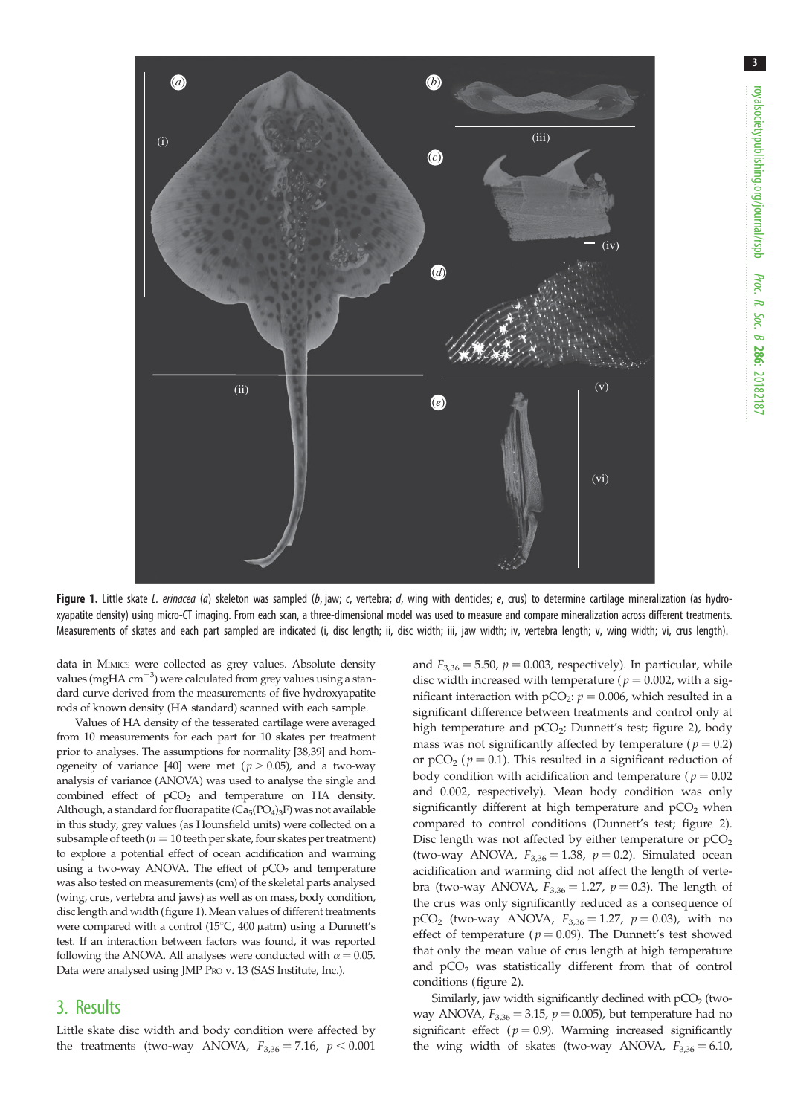<span id="page-2-0"></span>

Figure 1. Little skate L. erinacea (a) skeleton was sampled (b, jaw; c, vertebra; d, wing with denticles; e, crus) to determine cartilage mineralization (as hydroxyapatite density) using micro-CT imaging. From each scan, a three-dimensional model was used to measure and compare mineralization across different treatments. Measurements of skates and each part sampled are indicated (i, disc length; ii, disc width; iii, jaw width; iv, vertebra length; v, wing width; vi, crus length).

data in MIMICS were collected as grey values. Absolute density values (mgHA cm<sup>-3</sup>) were calculated from grey values using a standard curve derived from the measurements of five hydroxyapatite rods of known density (HA standard) scanned with each sample.

Values of HA density of the tesserated cartilage were averaged from 10 measurements for each part for 10 skates per treatment prior to analyses. The assumptions for normality [\[38,39\]](#page-6-0) and hom-ogeneity of variance [\[40\]](#page-6-0) were met ( $p > 0.05$ ), and a two-way analysis of variance (ANOVA) was used to analyse the single and combined effect of  $pCO<sub>2</sub>$  and temperature on HA density. Although, a standard for fluorapatite  $(Ca_5(PO_4)_3F)$  was not available in this study, grey values (as Hounsfield units) were collected on a subsample of teeth ( $n = 10$  teeth per skate, four skates per treatment) to explore a potential effect of ocean acidification and warming using a two-way ANOVA. The effect of  $pCO<sub>2</sub>$  and temperature was also tested on measurements (cm) of the skeletal parts analysed (wing, crus, vertebra and jaws) as well as on mass, body condition, disc length and width (figure 1). Mean values of different treatments were compared with a control (15°C, 400  $\mu$ atm) using a Dunnett's test. If an interaction between factors was found, it was reported following the ANOVA. All analyses were conducted with  $\alpha = 0.05$ . Data were analysed using JMP PRO v. 13 (SAS Institute, Inc.).

### 3. Results

Little skate disc width and body condition were affected by the treatments (two-way ANOVA,  $F_{3,36} = 7.16$ ,  $p < 0.001$ 

and  $F_{3,36} = 5.50$ ,  $p = 0.003$ , respectively). In particular, while disc width increased with temperature ( $p = 0.002$ , with a significant interaction with  $pCO_2$ :  $p = 0.006$ , which resulted in a significant difference between treatments and control only at high temperature and  $pCO<sub>2</sub>$ ; Dunnett's test; [figure 2\)](#page-3-0), body mass was not significantly affected by temperature ( $p = 0.2$ ) or  $pCO<sub>2</sub>$  ( $p = 0.1$ ). This resulted in a significant reduction of body condition with acidification and temperature ( $p = 0.02$ ) and 0.002, respectively). Mean body condition was only significantly different at high temperature and  $pCO<sub>2</sub>$  when compared to control conditions (Dunnett's test; [figure 2\)](#page-3-0). Disc length was not affected by either temperature or  $pCO<sub>2</sub>$ (two-way ANOVA,  $F_{3,36} = 1.38$ ,  $p = 0.2$ ). Simulated ocean acidification and warming did not affect the length of vertebra (two-way ANOVA,  $F_{3,36} = 1.27$ ,  $p = 0.3$ ). The length of the crus was only significantly reduced as a consequence of pCO<sub>2</sub> (two-way ANOVA,  $F_{3,36} = 1.27$ ,  $p = 0.03$ ), with no effect of temperature ( $p = 0.09$ ). The Dunnett's test showed that only the mean value of crus length at high temperature and  $pCO<sub>2</sub>$  was statistically different from that of control conditions ([figure 2](#page-3-0)).

Similarly, jaw width significantly declined with  $pCO<sub>2</sub>$  (twoway ANOVA,  $F_{3,36} = 3.15$ ,  $p = 0.005$ ), but temperature had no significant effect ( $p = 0.9$ ). Warming increased significantly the wing width of skates (two-way ANOVA,  $F_{3,36} = 6.10$ ,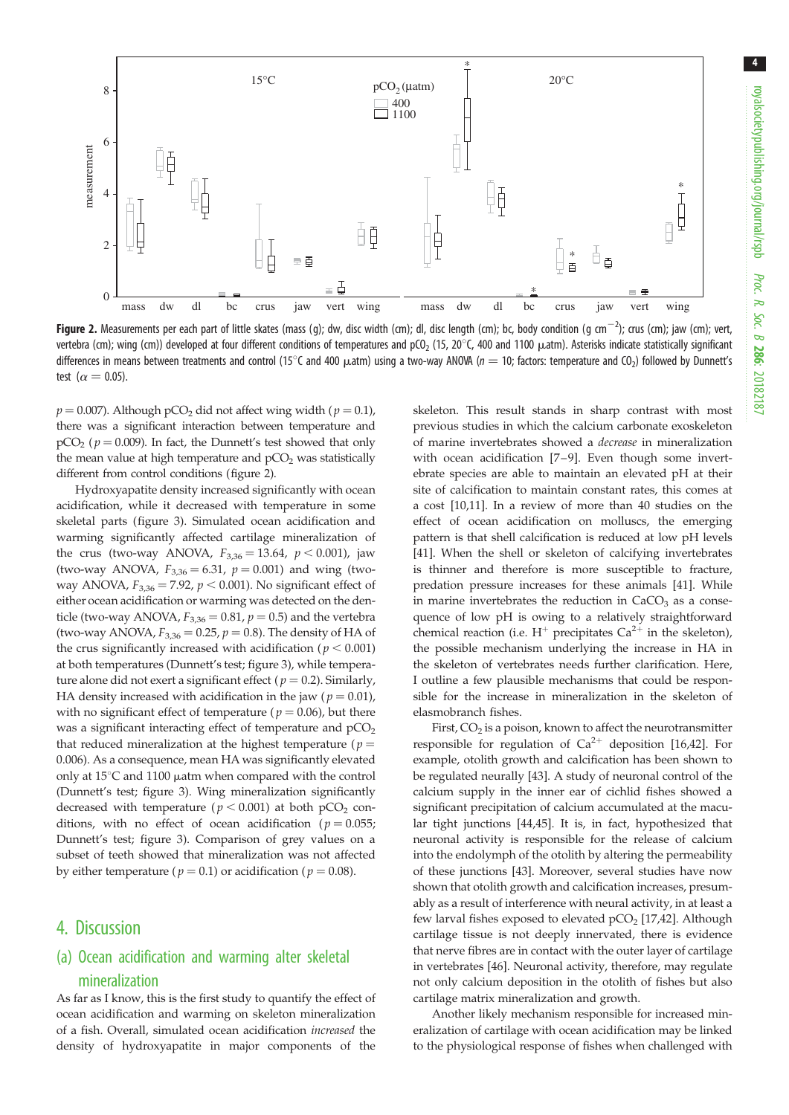<span id="page-3-0"></span>

**Figure 2.** Measurements per each part of little skates (mass (g); dw, disc width (cm); dl, disc length (cm); bc, body condition (g cm $^{-2}$ ); crus (cm); jaw (cm); vert, vertebra (cm); wing (cm)) developed at four different conditions of temperatures and pCO<sub>2</sub> (15, 20 $^{\circ}$ C, 400 and 1100  $\mu$ atm). Asterisks indicate statistically significant differences in means between treatments and control (15°C and 400  $\mu$ atm) using a two-way ANOVA ( $n = 10$ ; factors: temperature and CO<sub>2</sub>) followed by Dunnett's test ( $\alpha = 0.05$ ).

 $p = 0.007$ ). Although pCO<sub>2</sub> did not affect wing width ( $p = 0.1$ ), there was a significant interaction between temperature and  $pCO<sub>2</sub>$  ( $p = 0.009$ ). In fact, the Dunnett's test showed that only the mean value at high temperature and  $pCO<sub>2</sub>$  was statistically different from control conditions (figure 2).

Hydroxyapatite density increased significantly with ocean acidification, while it decreased with temperature in some skeletal parts [\(figure 3\)](#page-4-0). Simulated ocean acidification and warming significantly affected cartilage mineralization of the crus (two-way ANOVA,  $F_{3,36} = 13.64$ ,  $p < 0.001$ ), jaw (two-way ANOVA,  $F_{3,36} = 6.31$ ,  $p = 0.001$ ) and wing (twoway ANOVA,  $F_{3,36} = 7.92$ ,  $p < 0.001$ ). No significant effect of either ocean acidification or warming was detected on the denticle (two-way ANOVA,  $F_{3,36} = 0.81$ ,  $p = 0.5$ ) and the vertebra (two-way ANOVA,  $F_{3,36} = 0.25$ ,  $p = 0.8$ ). The density of HA of the crus significantly increased with acidification ( $p < 0.001$ ) at both temperatures (Dunnett's test; [figure 3\)](#page-4-0), while temperature alone did not exert a significant effect ( $p = 0.2$ ). Similarly, HA density increased with acidification in the jaw ( $p = 0.01$ ), with no significant effect of temperature ( $p = 0.06$ ), but there was a significant interacting effect of temperature and  $pCO<sub>2</sub>$ that reduced mineralization at the highest temperature ( $p =$ 0.006). As a consequence, mean HA was significantly elevated only at  $15^{\circ}$ C and  $1100$   $\mu$ atm when compared with the control (Dunnett's test; [figure 3\)](#page-4-0). Wing mineralization significantly decreased with temperature ( $p < 0.001$ ) at both pCO<sub>2</sub> conditions, with no effect of ocean acidification ( $p = 0.055$ ; Dunnett's test; [figure 3](#page-4-0)). Comparison of grey values on a subset of teeth showed that mineralization was not affected by either temperature ( $p = 0.1$ ) or acidification ( $p = 0.08$ ).

### 4. Discussion

## (a) Ocean acidification and warming alter skeletal mineralization

As far as I know, this is the first study to quantify the effect of ocean acidification and warming on skeleton mineralization of a fish. Overall, simulated ocean acidification increased the density of hydroxyapatite in major components of the skeleton. This result stands in sharp contrast with most previous studies in which the calcium carbonate exoskeleton of marine invertebrates showed a decrease in mineralization with ocean acidification [[7](#page-5-0)–[9](#page-5-0)]. Even though some invertebrate species are able to maintain an elevated pH at their site of calcification to maintain constant rates, this comes at a cost [[10,11](#page-5-0)]. In a review of more than 40 studies on the effect of ocean acidification on molluscs, the emerging pattern is that shell calcification is reduced at low pH levels [[41\]](#page-6-0). When the shell or skeleton of calcifying invertebrates is thinner and therefore is more susceptible to fracture, predation pressure increases for these animals [[41\]](#page-6-0). While in marine invertebrates the reduction in  $CaCO<sub>3</sub>$  as a consequence of low pH is owing to a relatively straightforward chemical reaction (i.e.  $H^+$  precipitates  $Ca^{2+}$  in the skeleton), the possible mechanism underlying the increase in HA in the skeleton of vertebrates needs further clarification. Here, I outline a few plausible mechanisms that could be responsible for the increase in mineralization in the skeleton of elasmobranch fishes.

First,  $CO<sub>2</sub>$  is a poison, known to affect the neurotransmitter responsible for regulation of  $Ca^{2+}$  deposition [\[16](#page-5-0)[,42\]](#page-6-0). For example, otolith growth and calcification has been shown to be regulated neurally [\[43](#page-6-0)]. A study of neuronal control of the calcium supply in the inner ear of cichlid fishes showed a significant precipitation of calcium accumulated at the macular tight junctions [\[44,45](#page-6-0)]. It is, in fact, hypothesized that neuronal activity is responsible for the release of calcium into the endolymph of the otolith by altering the permeability of these junctions [\[43](#page-6-0)]. Moreover, several studies have now shown that otolith growth and calcification increases, presumably as a result of interference with neural activity, in at least a few larval fishes exposed to elevated  $pCO<sub>2</sub>$  [[17,42](#page-6-0)]. Although cartilage tissue is not deeply innervated, there is evidence that nerve fibres are in contact with the outer layer of cartilage in vertebrates [[46\]](#page-6-0). Neuronal activity, therefore, may regulate not only calcium deposition in the otolith of fishes but also cartilage matrix mineralization and growth.

Another likely mechanism responsible for increased mineralization of cartilage with ocean acidification may be linked to the physiological response of fishes when challenged with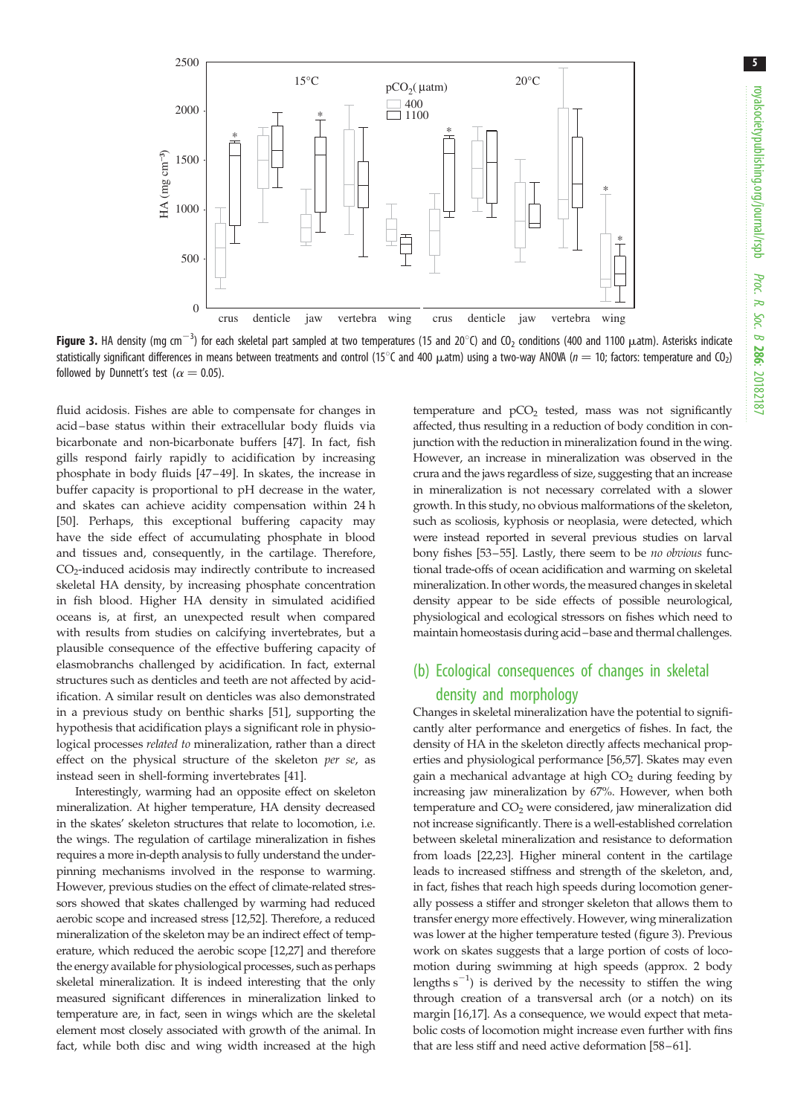<span id="page-4-0"></span>

Figure 3. HA density (mg cm $^{-3}$ ) for each skeletal part sampled at two temperatures (15 and 20°C) and CO<sub>2</sub> conditions (400 and 1100  $\mu$ atm). Asterisks indicate statistically significant differences in means between treatments and control (15°C and 400  $\mu$ atm) using a two-way ANOVA ( $n = 10$ ; factors: temperature and CO<sub>2</sub>) followed by Dunnett's test ( $\alpha = 0.05$ ).

fluid acidosis. Fishes are able to compensate for changes in acid –base status within their extracellular body fluids via bicarbonate and non-bicarbonate buffers [\[47](#page-6-0)]. In fact, fish gills respond fairly rapidly to acidification by increasing phosphate in body fluids [[47](#page-6-0)–[49](#page-6-0)]. In skates, the increase in buffer capacity is proportional to pH decrease in the water, and skates can achieve acidity compensation within 24 h [\[50](#page-6-0)]. Perhaps, this exceptional buffering capacity may have the side effect of accumulating phosphate in blood and tissues and, consequently, in the cartilage. Therefore, CO<sub>2</sub>-induced acidosis may indirectly contribute to increased skeletal HA density, by increasing phosphate concentration in fish blood. Higher HA density in simulated acidified oceans is, at first, an unexpected result when compared with results from studies on calcifying invertebrates, but a plausible consequence of the effective buffering capacity of elasmobranchs challenged by acidification. In fact, external structures such as denticles and teeth are not affected by acidification. A similar result on denticles was also demonstrated in a previous study on benthic sharks [[51\]](#page-6-0), supporting the hypothesis that acidification plays a significant role in physiological processes related to mineralization, rather than a direct effect on the physical structure of the skeleton per se, as instead seen in shell-forming invertebrates [\[41](#page-6-0)].

Interestingly, warming had an opposite effect on skeleton mineralization. At higher temperature, HA density decreased in the skates' skeleton structures that relate to locomotion, i.e. the wings. The regulation of cartilage mineralization in fishes requires a more in-depth analysis to fully understand the underpinning mechanisms involved in the response to warming. However, previous studies on the effect of climate-related stressors showed that skates challenged by warming had reduced aerobic scope and increased stress [[12](#page-5-0),[52](#page-6-0)]. Therefore, a reduced mineralization of the skeleton may be an indirect effect of temperature, which reduced the aerobic scope [[12](#page-5-0)[,27](#page-6-0)] and therefore the energy available for physiological processes, such as perhaps skeletal mineralization. It is indeed interesting that the only measured significant differences in mineralization linked to temperature are, in fact, seen in wings which are the skeletal element most closely associated with growth of the animal. In fact, while both disc and wing width increased at the high temperature and  $pCO<sub>2</sub>$  tested, mass was not significantly affected, thus resulting in a reduction of body condition in conjunction with the reduction in mineralization found in the wing. However, an increase in mineralization was observed in the crura and the jaws regardless of size, suggesting that an increase in mineralization is not necessary correlated with a slower growth. In this study, no obvious malformations of the skeleton, such as scoliosis, kyphosis or neoplasia, were detected, which were instead reported in several previous studies on larval bony fishes [\[53](#page-6-0)–[55\]](#page-6-0). Lastly, there seem to be no obvious functional trade-offs of ocean acidification and warming on skeletal mineralization. In other words, the measured changes in skeletal density appear to be side effects of possible neurological, physiological and ecological stressors on fishes which need to maintain homeostasis during acid–base and thermal challenges.

## (b) Ecological consequences of changes in skeletal density and morphology

Changes in skeletal mineralization have the potential to significantly alter performance and energetics of fishes. In fact, the density of HA in the skeleton directly affects mechanical properties and physiological performance [[56,57\]](#page-6-0). Skates may even gain a mechanical advantage at high  $CO<sub>2</sub>$  during feeding by increasing jaw mineralization by 67%. However, when both temperature and  $CO<sub>2</sub>$  were considered, jaw mineralization did not increase significantly. There is a well-established correlation between skeletal mineralization and resistance to deformation from loads [\[22,23\]](#page-6-0). Higher mineral content in the cartilage leads to increased stiffness and strength of the skeleton, and, in fact, fishes that reach high speeds during locomotion generally possess a stiffer and stronger skeleton that allows them to transfer energy more effectively. However, wing mineralization was lower at the higher temperature tested (figure 3). Previous work on skates suggests that a large portion of costs of locomotion during swimming at high speeds (approx. 2 body lengths  $s^{-1}$ ) is derived by the necessity to stiffen the wing through creation of a transversal arch (or a notch) on its margin [\[16](#page-5-0)[,17\]](#page-6-0). As a consequence, we would expect that metabolic costs of locomotion might increase even further with fins that are less stiff and need active deformation [[58](#page-6-0)–[61\]](#page-7-0).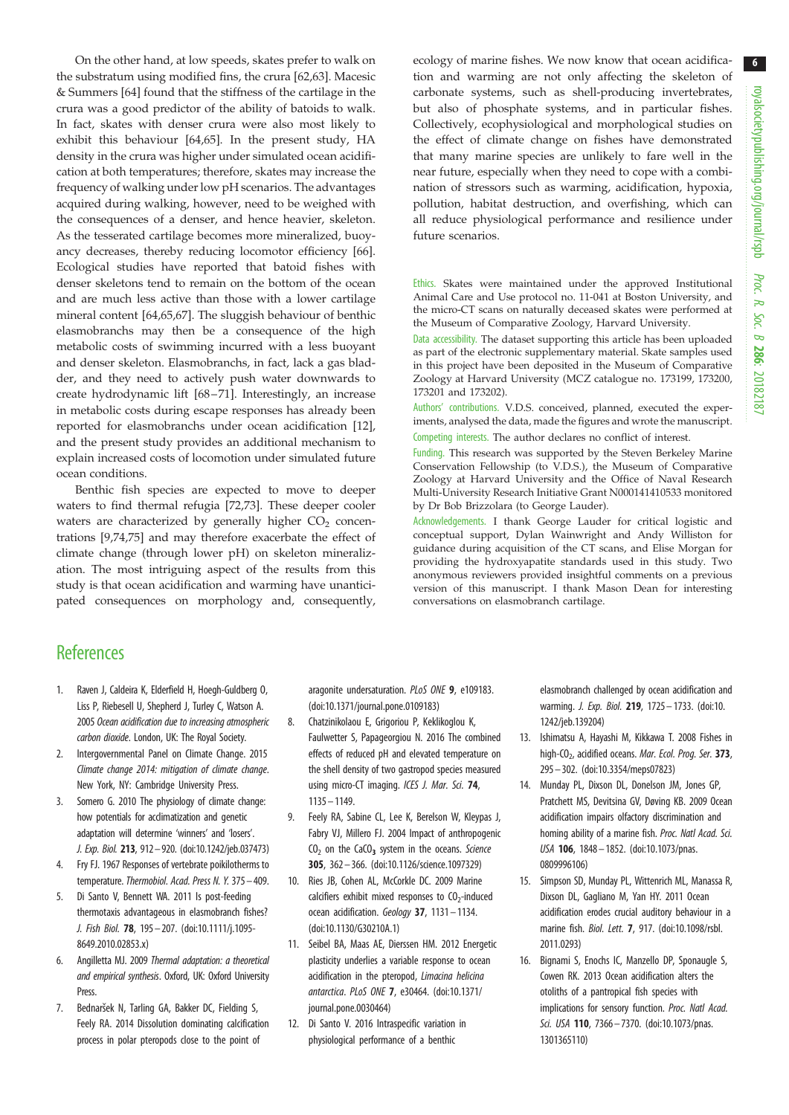<span id="page-5-0"></span>On the other hand, at low speeds, skates prefer to walk on the substratum using modified fins, the crura [[62,63\]](#page-7-0). Macesic & Summers [\[64](#page-7-0)] found that the stiffness of the cartilage in the crura was a good predictor of the ability of batoids to walk. In fact, skates with denser crura were also most likely to exhibit this behaviour [[64,65](#page-7-0)]. In the present study, HA density in the crura was higher under simulated ocean acidification at both temperatures; therefore, skates may increase the frequency of walking under low pH scenarios. The advantages acquired during walking, however, need to be weighed with the consequences of a denser, and hence heavier, skeleton. As the tesserated cartilage becomes more mineralized, buoyancy decreases, thereby reducing locomotor efficiency [\[66](#page-7-0)]. Ecological studies have reported that batoid fishes with denser skeletons tend to remain on the bottom of the ocean and are much less active than those with a lower cartilage mineral content [\[64,65](#page-7-0),[67\]](#page-7-0). The sluggish behaviour of benthic elasmobranchs may then be a consequence of the high metabolic costs of swimming incurred with a less buoyant and denser skeleton. Elasmobranchs, in fact, lack a gas bladder, and they need to actively push water downwards to create hydrodynamic lift [[68](#page-7-0)–[71\]](#page-7-0). Interestingly, an increase in metabolic costs during escape responses has already been reported for elasmobranchs under ocean acidification [12], and the present study provides an additional mechanism to explain increased costs of locomotion under simulated future ocean conditions.

Benthic fish species are expected to move to deeper waters to find thermal refugia [[72,73](#page-7-0)]. These deeper cooler waters are characterized by generally higher  $CO<sub>2</sub>$  concentrations [9[,74,75\]](#page-7-0) and may therefore exacerbate the effect of climate change (through lower pH) on skeleton mineralization. The most intriguing aspect of the results from this study is that ocean acidification and warming have unanticipated consequences on morphology and, consequently, ecology of marine fishes. We now know that ocean acidification and warming are not only affecting the skeleton of carbonate systems, such as shell-producing invertebrates, but also of phosphate systems, and in particular fishes. Collectively, ecophysiological and morphological studies on the effect of climate change on fishes have demonstrated that many marine species are unlikely to fare well in the near future, especially when they need to cope with a combination of stressors such as warming, acidification, hypoxia, pollution, habitat destruction, and overfishing, which can all reduce physiological performance and resilience under future scenarios.

Ethics. Skates were maintained under the approved Institutional Animal Care and Use protocol no. 11-041 at Boston University, and the micro-CT scans on naturally deceased skates were performed at the Museum of Comparative Zoology, Harvard University.

Data accessibility. The dataset supporting this article has been uploaded as part of the electronic supplementary material. Skate samples used in this project have been deposited in the Museum of Comparative Zoology at Harvard University (MCZ catalogue no. 173199, 173200, 173201 and 173202).

Authors' contributions. V.D.S. conceived, planned, executed the experiments, analysed the data, made the figures and wrote the manuscript. Competing interests. The author declares no conflict of interest.

Funding. This research was supported by the Steven Berkeley Marine Conservation Fellowship (to V.D.S.), the Museum of Comparative Zoology at Harvard University and the Office of Naval Research Multi-University Research Initiative Grant N000141410533 monitored by Dr Bob Brizzolara (to George Lauder).

Acknowledgements. I thank George Lauder for critical logistic and conceptual support, Dylan Wainwright and Andy Williston for guidance during acquisition of the CT scans, and Elise Morgan for providing the hydroxyapatite standards used in this study. Two anonymous reviewers provided insightful comments on a previous version of this manuscript. I thank Mason Dean for interesting conversations on elasmobranch cartilage.

## **References**

- 1. Raven J, Caldeira K, Elderfield H, Hoegh-Guldberg O, Liss P, Riebesell U, Shepherd J, Turley C, Watson A. 2005 Ocean acidification due to increasing atmospheric carbon dioxide. London, UK: The Royal Society.
- 2. Intergovernmental Panel on Climate Change. 2015 Climate change 2014: mitigation of climate change. New York, NY: Cambridge University Press.
- 3. Somero G. 2010 The physiology of climate change: how potentials for acclimatization and genetic adaptation will determine 'winners' and 'losers'. J. Exp. Biol. 213, 912–920. [\(doi:10.1242/jeb.037473](http://dx.doi.org/10.1242/jeb.037473))
- 4. Fry FJ. 1967 Responses of vertebrate poikilotherms to temperature. Thermobiol. Acad. Press N. Y. 375– 409.
- 5. Di Santo V, Bennett WA. 2011 Is post-feeding thermotaxis advantageous in elasmobranch fishes? J. Fish Biol. 78, 195– 207. [\(doi:10.1111/j.1095-](http://dx.doi.org/10.1111/j.1095-8649.2010.02853.x) [8649.2010.02853.x](http://dx.doi.org/10.1111/j.1095-8649.2010.02853.x))
- 6. Angilletta MJ. 2009 Thermal adaptation: a theoretical and empirical synthesis. Oxford, UK: Oxford University Press.
- 7. Bednaršek N, Tarling GA, Bakker DC, Fielding S, Feely RA. 2014 Dissolution dominating calcification process in polar pteropods close to the point of

aragonite undersaturation. PLoS ONE 9, e109183. [\(doi:10.1371/journal.pone.0109183\)](http://dx.doi.org/10.1371/journal.pone.0109183)

- 8. Chatzinikolaou E, Grigoriou P, Keklikoglou K, Faulwetter S, Papageorgiou N. 2016 The combined effects of reduced pH and elevated temperature on the shell density of two gastropod species measured using micro-CT imaging. ICES J. Mar. Sci. 74, 1135 – 1149.
- 9. Feely RA, Sabine CL, Lee K, Berelson W, Kleypas J, Fabry VJ, Millero FJ. 2004 Impact of anthropogenic  $CO<sub>2</sub>$  on the CaCO<sub>3</sub> system in the oceans. Science 305, 362 – 366. [\(doi:10.1126/science.1097329](http://dx.doi.org/10.1126/science.1097329))
- 10. Ries JB, Cohen AL, McCorkle DC. 2009 Marine calcifiers exhibit mixed responses to  $CO<sub>2</sub>$ -induced ocean acidification. Geology 37, 1131-1134. [\(doi:10.1130/G30210A.1](http://dx.doi.org/10.1130/G30210A.1))
- 11. Seibel BA, Maas AE, Dierssen HM. 2012 Energetic plasticity underlies a variable response to ocean acidification in the pteropod, Limacina helicina antarctica. PLoS ONE 7, e30464. [\(doi:10.1371/](http://dx.doi.org/10.1371/journal.pone.0030464) [journal.pone.0030464\)](http://dx.doi.org/10.1371/journal.pone.0030464)
- 12. Di Santo V. 2016 Intraspecific variation in physiological performance of a benthic

elasmobranch challenged by ocean acidification and warming. J. Exp. Biol. 219, 1725 – 1733. ([doi:10.](http://dx.doi.org/10.1242/jeb.139204) [1242/jeb.139204](http://dx.doi.org/10.1242/jeb.139204))

- 13. Ishimatsu A, Hayashi M, Kikkawa T. 2008 Fishes in high- $CO<sub>2</sub>$ , acidified oceans. Mar. Ecol. Prog. Ser. 373, 295– 302. [\(doi:10.3354/meps07823](http://dx.doi.org/10.3354/meps07823))
- 14. Munday PL, Dixson DL, Donelson JM, Jones GP, Pratchett MS, Devitsina GV, Døving KB. 2009 Ocean acidification impairs olfactory discrimination and homing ability of a marine fish. Proc. Natl Acad. Sci. USA 106, 1848– 1852. ([doi:10.1073/pnas.](http://dx.doi.org/10.1073/pnas.0809996106) [0809996106](http://dx.doi.org/10.1073/pnas.0809996106))
- 15. Simpson SD, Munday PL, Wittenrich ML, Manassa R, Dixson DL, Gagliano M, Yan HY. 2011 Ocean acidification erodes crucial auditory behaviour in a marine fish. Biol. Lett. 7, 917. [\(doi:10.1098/rsbl.](http://dx.doi.org/10.1098/rsbl.2011.0293) [2011.0293](http://dx.doi.org/10.1098/rsbl.2011.0293))
- 16. Bignami S, Enochs IC, Manzello DP, Sponaugle S, Cowen RK. 2013 Ocean acidification alters the otoliths of a pantropical fish species with implications for sensory function. Proc. Natl Acad. Sci. USA 110, 7366-7370. [\(doi:10.1073/pnas.](http://dx.doi.org/10.1073/pnas.1301365110) [1301365110](http://dx.doi.org/10.1073/pnas.1301365110))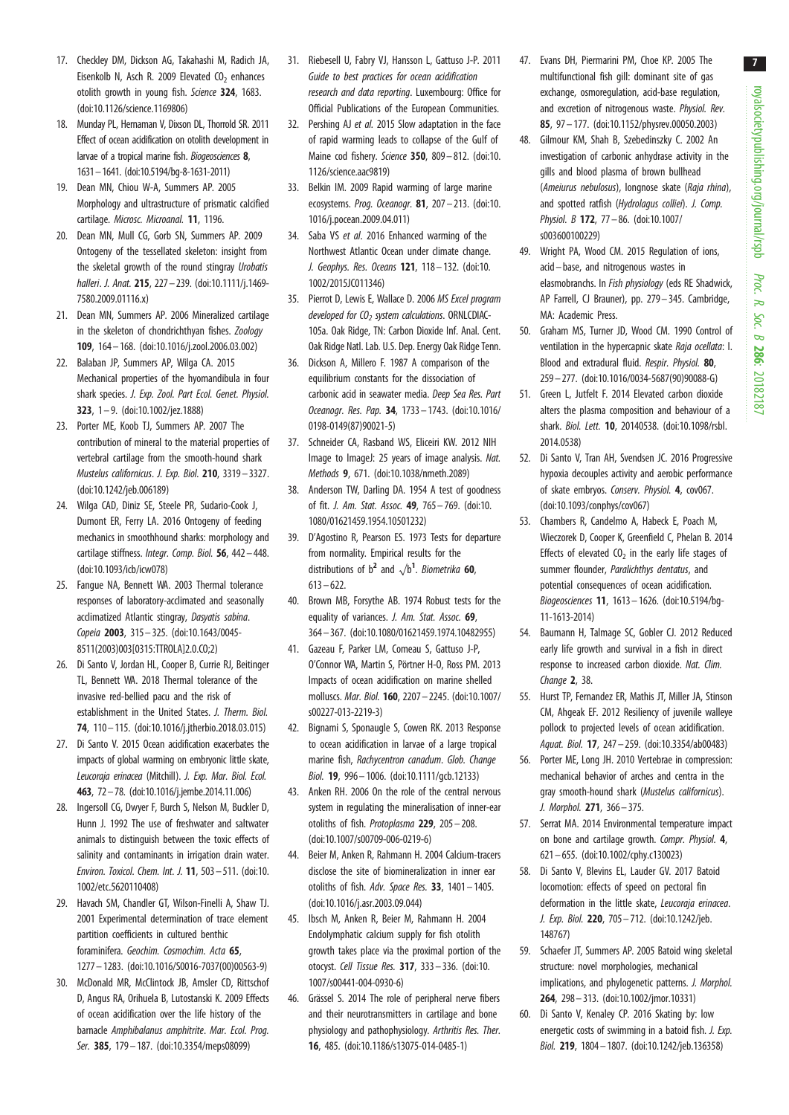- <span id="page-6-0"></span>17. Checkley DM, Dickson AG, Takahashi M, Radich JA, Eisenkolb N, Asch R. 2009 Elevated  $CO<sub>2</sub>$  enhances otolith growth in young fish. Science 324, 1683. [\(doi:10.1126/science.1169806\)](http://dx.doi.org/10.1126/science.1169806)
- 18. Munday PL, Hernaman V, Dixson DL, Thorrold SR. 2011 Effect of ocean acidification on otolith development in larvae of a tropical marine fish. Biogeosciences 8, 1631–1641. [\(doi:10.5194/bg-8-1631-2011](http://dx.doi.org/10.5194/bg-8-1631-2011))
- 19. Dean MN, Chiou W-A, Summers AP. 2005 Morphology and ultrastructure of prismatic calcified cartilage. Microsc. Microanal. 11, 1196.
- 20. Dean MN, Mull CG, Gorb SN, Summers AP. 2009 Ontogeny of the tessellated skeleton: insight from the skeletal growth of the round stingray Urobatis halleri. J. Anat. 215, 227 - 239. [\(doi:10.1111/j.1469-](http://dx.doi.org/10.1111/j.1469-7580.2009.01116.x) [7580.2009.01116.x](http://dx.doi.org/10.1111/j.1469-7580.2009.01116.x))
- 21. Dean MN, Summers AP. 2006 Mineralized cartilage in the skeleton of chondrichthyan fishes. Zoology 109, 164– 168. [\(doi:10.1016/j.zool.2006.03.002](http://dx.doi.org/10.1016/j.zool.2006.03.002))
- 22. Balaban JP, Summers AP, Wilga CA. 2015 Mechanical properties of the hyomandibula in four shark species. J. Exp. Zool. Part Ecol. Genet. Physiol. 323, 1– 9. [\(doi:10.1002/jez.1888](http://dx.doi.org/10.1002/jez.1888))
- 23. Porter ME, Koob TJ, Summers AP. 2007 The contribution of mineral to the material properties of vertebral cartilage from the smooth-hound shark Mustelus californicus. J. Exp. Biol. 210, 3319– 3327. [\(doi:10.1242/jeb.006189](http://dx.doi.org/10.1242/jeb.006189))
- 24. Wilga CAD, Diniz SE, Steele PR, Sudario-Cook J, Dumont ER, Ferry LA. 2016 Ontogeny of feeding mechanics in smoothhound sharks: morphology and cartilage stiffness. Integr. Comp. Biol. 56, 442– 448. [\(doi:10.1093/icb/icw078](http://dx.doi.org/10.1093/icb/icw078))
- 25. Fangue NA, Bennett WA. 2003 Thermal tolerance responses of laboratory-acclimated and seasonally acclimatized Atlantic stingray, Dasyatis sabina. Copeia 2003, 315– 325. ([doi:10.1643/0045-](http://dx.doi.org/10.1643/0045-8511(2003)003[0315:TTROLA]2.0.CO;2) [8511\(2003\)003\[0315:TTROLA\]2.0.CO;2](http://dx.doi.org/10.1643/0045-8511(2003)003[0315:TTROLA]2.0.CO;2))
- 26. Di Santo V, Jordan HL, Cooper B, Currie RJ, Beitinger TL, Bennett WA. 2018 Thermal tolerance of the invasive red-bellied pacu and the risk of establishment in the United States. J. Therm. Biol. 74, 110– 115. ([doi:10.1016/j.jtherbio.2018.03.015](http://dx.doi.org/10.1016/j.jtherbio.2018.03.015))
- 27. Di Santo V. 2015 Ocean acidification exacerbates the impacts of global warming on embryonic little skate, Leucoraja erinacea (Mitchill). J. Exp. Mar. Biol. Ecol. 463, 72–78. ([doi:10.1016/j.jembe.2014.11.006](http://dx.doi.org/10.1016/j.jembe.2014.11.006))
- 28. Ingersoll CG, Dwyer F, Burch S, Nelson M, Buckler D, Hunn J. 1992 The use of freshwater and saltwater animals to distinguish between the toxic effects of salinity and contaminants in irrigation drain water. Environ. Toxicol. Chem. Int. J. 11, 503– 511. ([doi:10.](http://dx.doi.org/10.1002/etc.5620110408) [1002/etc.5620110408\)](http://dx.doi.org/10.1002/etc.5620110408)
- 29. Havach SM, Chandler GT, Wilson-Finelli A, Shaw TJ. 2001 Experimental determination of trace element partition coefficients in cultured benthic foraminifera. Geochim. Cosmochim. Acta 65, 1277 – 1283. [\(doi:10.1016/S0016-7037\(00\)00563-9](http://dx.doi.org/10.1016/S0016-7037(00)00563-9))
- 30. McDonald MR, McClintock JB, Amsler CD, Rittschof D, Angus RA, Orihuela B, Lutostanski K. 2009 Effects of ocean acidification over the life history of the barnacle Amphibalanus amphitrite. Mar. Ecol. Prog. Ser. 385, 179-187. [\(doi:10.3354/meps08099\)](http://dx.doi.org/10.3354/meps08099)
- 31. Riebesell U, Fabry VJ, Hansson L, Gattuso J-P. 2011 Guide to best practices for ocean acidification research and data reporting. Luxembourg: Office for Official Publications of the European Communities.
- 32. Pershing AJ et al. 2015 Slow adaptation in the face of rapid warming leads to collapse of the Gulf of Maine cod fishery. Science 350, 809– 812. [\(doi:10.](http://dx.doi.org/10.1126/science.aac9819) [1126/science.aac9819](http://dx.doi.org/10.1126/science.aac9819))
- 33. Belkin IM. 2009 Rapid warming of large marine ecosystems. Prog. Oceanogr. 81, 207-213. [\(doi:10.](http://dx.doi.org/10.1016/j.pocean.2009.04.011) [1016/j.pocean.2009.04.011](http://dx.doi.org/10.1016/j.pocean.2009.04.011))
- 34. Saba VS et al. 2016 Enhanced warming of the Northwest Atlantic Ocean under climate change. J. Geophys. Res. Oceans 121, 118– 132. ([doi:10.](http://dx.doi.org/10.1002/2015JC011346) [1002/2015JC011346](http://dx.doi.org/10.1002/2015JC011346))
- 35. Pierrot D, Lewis E, Wallace D. 2006 MS Excel program developed for  $CO<sub>2</sub>$  system calculations. ORNLCDIAC-105a. Oak Ridge, TN: Carbon Dioxide Inf. Anal. Cent. Oak Ridge Natl. Lab. U.S. Dep. Energy Oak Ridge Tenn.
- 36. Dickson A, Millero F. 1987 A comparison of the equilibrium constants for the dissociation of carbonic acid in seawater media. Deep Sea Res. Part Oceanogr. Res. Pap. 34, 1733– 1743. [\(doi:10.1016/](http://dx.doi.org/10.1016/0198-0149(87)90021-5) [0198-0149\(87\)90021-5](http://dx.doi.org/10.1016/0198-0149(87)90021-5))
- 37. Schneider CA, Rasband WS, Eliceiri KW. 2012 NIH Image to ImageJ: 25 years of image analysis. Nat. Methods 9, 671. [\(doi:10.1038/nmeth.2089](http://dx.doi.org/10.1038/nmeth.2089))
- 38. Anderson TW, Darling DA. 1954 A test of goodness of fit. J. Am. Stat. Assoc. 49, 765– 769. [\(doi:10.](http://dx.doi.org/10.1080/01621459.1954.10501232) [1080/01621459.1954.10501232\)](http://dx.doi.org/10.1080/01621459.1954.10501232)
- 39. D'Agostino R, Pearson ES. 1973 Tests for departure from normality. Empirical results for the distributions of  $b^2$  and  $\sqrt{b^1}$ . Biometrika 60,  $613 - 622$
- 40. Brown MB, Forsythe AB. 1974 Robust tests for the equality of variances. J. Am. Stat. Assoc. 69, 364 – 367. [\(doi:10.1080/01621459.1974.10482955\)](http://dx.doi.org/10.1080/01621459.1974.10482955)
- 41. Gazeau F, Parker LM, Comeau S, Gattuso J-P, O'Connor WA, Martin S, Pörtner H-O, Ross PM. 2013 Impacts of ocean acidification on marine shelled molluscs. Mar. Biol. 160, 2207– 2245. [\(doi:10.1007/](http://dx.doi.org/10.1007/s00227-013-2219-3) [s00227-013-2219-3\)](http://dx.doi.org/10.1007/s00227-013-2219-3)
- 42. Bignami S, Sponaugle S, Cowen RK. 2013 Response to ocean acidification in larvae of a large tropical marine fish, Rachycentron canadum. Glob. Change Biol. 19, 996 – 1006. ([doi:10.1111/gcb.12133\)](http://dx.doi.org/10.1111/gcb.12133)
- 43. Anken RH. 2006 On the role of the central nervous system in regulating the mineralisation of inner-ear otoliths of fish. Protoplasma 229, 205 – 208. [\(doi:10.1007/s00709-006-0219-6](http://dx.doi.org/10.1007/s00709-006-0219-6))
- 44. Beier M, Anken R, Rahmann H. 2004 Calcium-tracers disclose the site of biomineralization in inner ear otoliths of fish. Adv. Space Res. 33, 1401 – 1405. [\(doi:10.1016/j.asr.2003.09.044](http://dx.doi.org/10.1016/j.asr.2003.09.044))
- 45. Ibsch M, Anken R, Beier M, Rahmann H. 2004 Endolymphatic calcium supply for fish otolith growth takes place via the proximal portion of the otocyst. Cell Tissue Res. 317, 333 – 336. ([doi:10.](http://dx.doi.org/10.1007/s00441-004-0930-6) [1007/s00441-004-0930-6\)](http://dx.doi.org/10.1007/s00441-004-0930-6)
- 46. Grässel S. 2014 The role of peripheral nerve fibers and their neurotransmitters in cartilage and bone physiology and pathophysiology. Arthritis Res. Ther. 16, 485. [\(doi:10.1186/s13075-014-0485-1](http://dx.doi.org/10.1186/s13075-014-0485-1))
- 47. Evans DH, Piermarini PM, Choe KP. 2005 The multifunctional fish gill: dominant site of gas exchange, osmoregulation, acid-base regulation, and excretion of nitrogenous waste. Physiol. Rev. 85, 97 – 177. [\(doi:10.1152/physrev.00050.2003](http://dx.doi.org/10.1152/physrev.00050.2003))
- 48. Gilmour KM, Shah B, Szebedinszky C. 2002 An investigation of carbonic anhydrase activity in the gills and blood plasma of brown bullhead (Ameiurus nebulosus), longnose skate (Raja rhina), and spotted ratfish (Hydrolagus colliei). J. Comp. Physiol. B 172, 77 – 86. [\(doi:10.1007/](http://dx.doi.org/10.1007/s003600100229) [s003600100229\)](http://dx.doi.org/10.1007/s003600100229)
- 49. Wright PA, Wood CM. 2015 Regulation of ions, acid –base, and nitrogenous wastes in elasmobranchs. In Fish physiology (eds RE Shadwick, AP Farrell, CJ Brauner), pp. 279– 345. Cambridge, MA: Academic Press.
- 50. Graham MS, Turner JD, Wood CM. 1990 Control of ventilation in the hypercapnic skate Raja ocellata: I. Blood and extradural fluid. Respir. Physiol. 80, 259– 277. [\(doi:10.1016/0034-5687\(90\)90088-G\)](http://dx.doi.org/10.1016/0034-5687(90)90088-G)
- 51. Green L, Jutfelt F. 2014 Elevated carbon dioxide alters the plasma composition and behaviour of a shark. Biol. Lett. 10, 20140538. ([doi:10.1098/rsbl.](http://dx.doi.org/10.1098/rsbl.2014.0538) [2014.0538](http://dx.doi.org/10.1098/rsbl.2014.0538))
- 52. Di Santo V, Tran AH, Svendsen JC. 2016 Progressive hypoxia decouples activity and aerobic performance of skate embryos. Conserv. Physiol. 4, cov067. ([doi:10.1093/conphys/cov067](http://dx.doi.org/10.1093/conphys/cov067))
- 53. Chambers R, Candelmo A, Habeck E, Poach M, Wieczorek D, Cooper K, Greenfield C, Phelan B. 2014 Effects of elevated  $CO<sub>2</sub>$  in the early life stages of summer flounder, Paralichthys dentatus, and potential consequences of ocean acidification. Biogeosciences 11, 1613– 1626. [\(doi:10.5194/bg-](http://dx.doi.org/10.5194/bg-11-1613-2014)[11-1613-2014](http://dx.doi.org/10.5194/bg-11-1613-2014))
- 54. Baumann H, Talmage SC, Gobler CJ. 2012 Reduced early life growth and survival in a fish in direct response to increased carbon dioxide. Nat. Clim. Change 2, 38.
- 55. Hurst TP, Fernandez ER, Mathis JT, Miller JA, Stinson CM, Ahgeak EF. 2012 Resiliency of juvenile walleye pollock to projected levels of ocean acidification. Aquat. Biol. 17, 247– 259. ([doi:10.3354/ab00483\)](http://dx.doi.org/10.3354/ab00483)
- 56. Porter ME, Long JH. 2010 Vertebrae in compression: mechanical behavior of arches and centra in the gray smooth-hound shark (Mustelus californicus). J. Morphol. 271, 366– 375.
- 57. Serrat MA. 2014 Environmental temperature impact on bone and cartilage growth. Compr. Physiol. 4, 621– 655. [\(doi:10.1002/cphy.c130023\)](http://dx.doi.org/10.1002/cphy.c130023)
- 58. Di Santo V, Blevins EL, Lauder GV. 2017 Batoid locomotion: effects of speed on pectoral fin deformation in the little skate, Leucoraja erinacea. J. Exp. Biol. 220, 705– 712. ([doi:10.1242/jeb.](http://dx.doi.org/10.1242/jeb.148767) [148767\)](http://dx.doi.org/10.1242/jeb.148767)
- 59. Schaefer JT, Summers AP. 2005 Batoid wing skeletal structure: novel morphologies, mechanical implications, and phylogenetic patterns. J. Morphol. 264, 298– 313. [\(doi:10.1002/jmor.10331\)](http://dx.doi.org/10.1002/jmor.10331)
- 60. Di Santo V, Kenaley CP. 2016 Skating by: low energetic costs of swimming in a batoid fish. J. Exp. Biol. 219, 1804– 1807. ([doi:10.1242/jeb.136358\)](http://dx.doi.org/10.1242/jeb.136358)